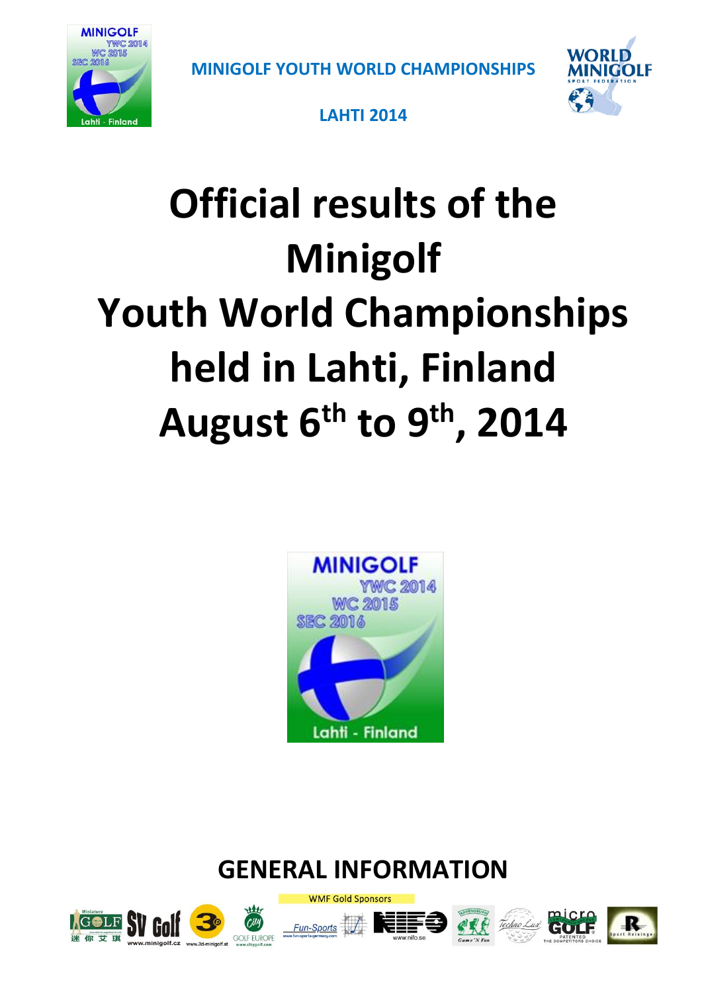



**LAHTI 2014**

# **Official results of the Minigolf Youth World Championships held in Lahti, Finland August 6th to 9th, 2014**



# **GENERAL INFORMATION**









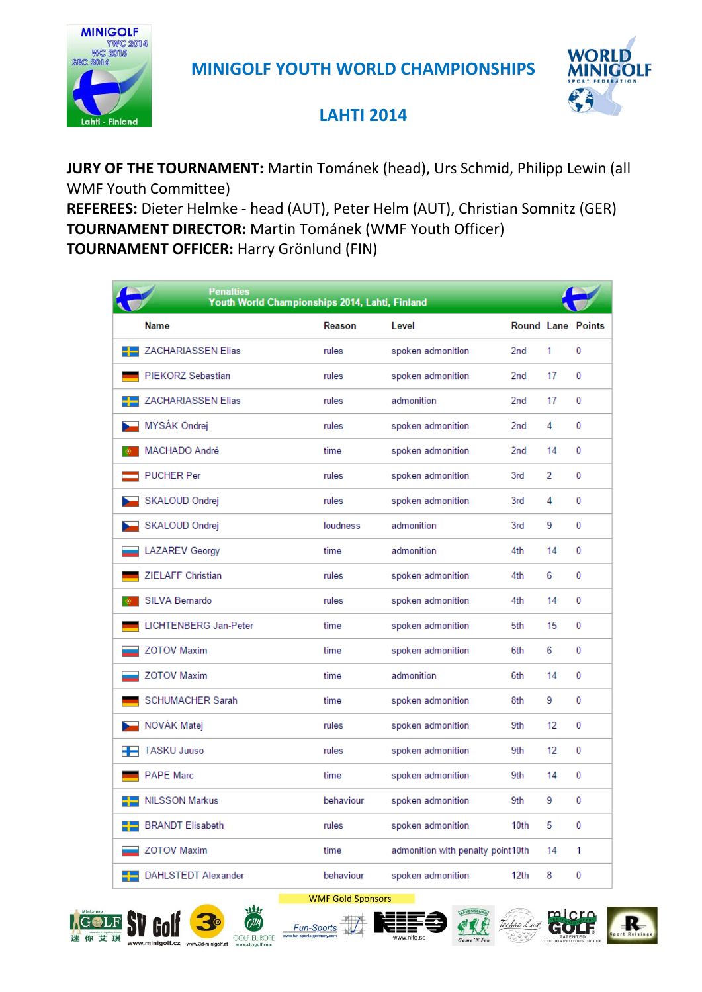



#### **LAHTI 2014**

**JURY OF THE TOURNAMENT:** Martin Tománek (head), Urs Schmid, Philipp Lewin (all WMF Youth Committee)

**REFEREES:** Dieter Helmke - head (AUT), Peter Helm (AUT), Christian Somnitz (GER) **TOURNAMENT DIRECTOR:** Martin Tománek (WMF Youth Officer)

**TOURNAMENT OFFICER:** Harry Grönlund (FIN)

|    | <b>Penalties</b><br>Youth World Championships 2014, Lahti, Finland |           |                                   |                          |                |              |
|----|--------------------------------------------------------------------|-----------|-----------------------------------|--------------------------|----------------|--------------|
|    | <b>Name</b>                                                        | Reason    | Level                             | <b>Round Lane Points</b> |                |              |
|    | <b>ZACHARIASSEN Elias</b>                                          | rules     | spoken admonition                 | 2nd                      | 1              | 0            |
|    | PIEKORZ Sebastian                                                  | rules     | spoken admonition                 | 2nd                      | 17             | 0            |
|    | <b>ZACHARIASSEN Elias</b>                                          | rules     | admonition                        | 2 <sub>nd</sub>          | 17             | 0            |
|    | MYSÁK Ondrej                                                       | rules     | spoken admonition                 | 2nd                      | 4              | 0            |
|    | MACHADO André                                                      | time      | spoken admonition                 | 2 <sub>nd</sub>          | 14             | 0            |
|    | <b>PUCHER Per</b>                                                  | rules     | spoken admonition                 | 3rd                      | $\overline{2}$ | 0            |
|    | SKALOUD Ondrej                                                     | rules     | spoken admonition                 | 3rd                      | 4              | 0            |
|    | SKALOUD Ondrej                                                     | loudness  | admonition                        | 3rd                      | 9              | 0            |
|    | <b>LAZAREV Georgy</b>                                              | time      | admonition                        | 4th                      | 14             | 0            |
|    | <b>ZIELAFF Christian</b>                                           | rules     | spoken admonition                 | 4th                      | 6              | 0            |
| Ô. | SILVA Bernardo                                                     | rules     | spoken admonition                 | 4th                      | 14             | 0            |
|    | LICHTENBERG Jan-Peter                                              | time      | spoken admonition                 | 5th                      | 15             | 0            |
|    | <b>ZOTOV Maxim</b>                                                 | time      | spoken admonition                 | 6th                      | 6              | 0            |
|    | <b>ZOTOV Maxim</b>                                                 | time      | admonition                        | 6th                      | 14             | 0            |
|    | <b>SCHUMACHER Sarah</b>                                            | time      | spoken admonition                 | 8th                      | 9              | $\mathbf{0}$ |
|    | NOVÁK Matej                                                        | rules     | spoken admonition                 | 9th                      | 12             | 0            |
| ╄  | <b>TASKU Juuso</b>                                                 | rules     | spoken admonition                 | 9th                      | 12             | 0            |
|    | <b>PAPE Marc</b>                                                   | time      | spoken admonition                 | 9th                      | 14             | 0            |
|    | <b>NILSSON Markus</b>                                              | behaviour | spoken admonition                 | 9th                      | 9              | $\mathbf{0}$ |
|    | <b>BRANDT Elisabeth</b>                                            | rules     | spoken admonition                 | 10th                     | 5              | 0            |
|    | <b>ZOTOV Maxim</b>                                                 | time      | admonition with penalty point10th |                          | 14             | 1            |
|    | <b>DAHLSTEDT Alexander</b>                                         | behaviour | spoken admonition                 | 12th                     | 8              | 0            |

**WMF Gold Sponsors** 











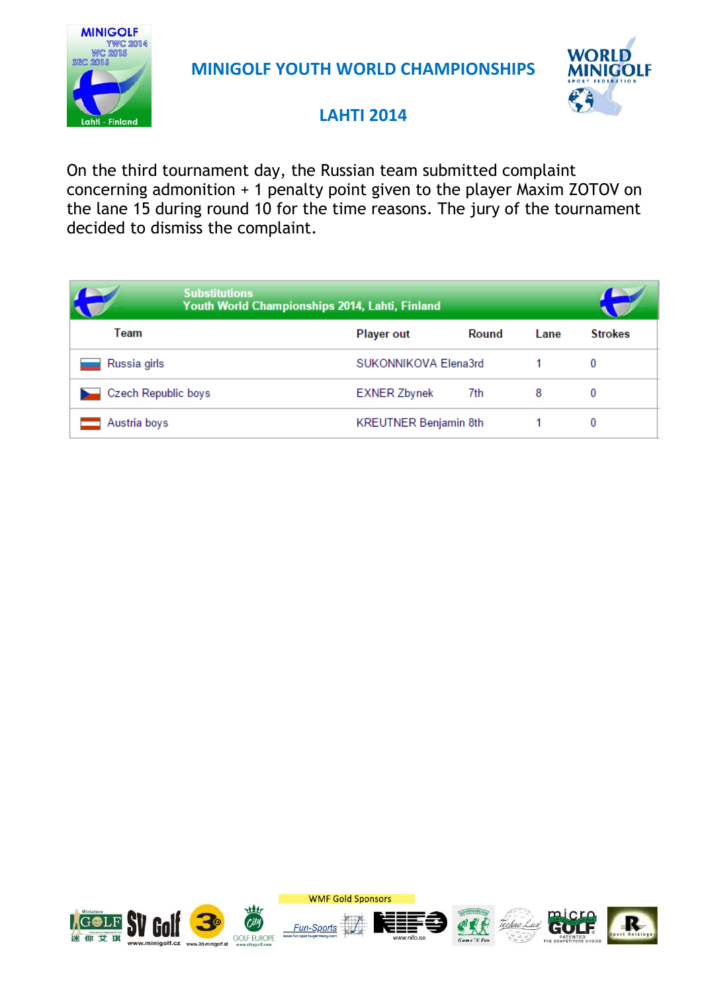



#### **LAHTI 2014**

On the third tournament day, the Russian team submitted complaint concerning admonition + 1 penalty point given to the player Maxim ZOTOV on the lane 15 during round 10 for the time reasons. The jury of the tournament decided to dismiss the complaint.

|                     | <b>Substitutions</b><br>Youth World Championships 2014, Lahti, Finland |                              |       |      |                |
|---------------------|------------------------------------------------------------------------|------------------------------|-------|------|----------------|
| Team                |                                                                        | <b>Player out</b>            | Round | Lane | <b>Strokes</b> |
| Russia girls        |                                                                        | SUKONNIKOVA Elena3rd         |       |      | 0              |
| Czech Republic boys |                                                                        | <b>EXNER Zbynek</b>          | 7th   | 8    | 0              |
| Austria boys        |                                                                        | <b>KREUTNER Benjamin 8th</b> |       |      | 0              |

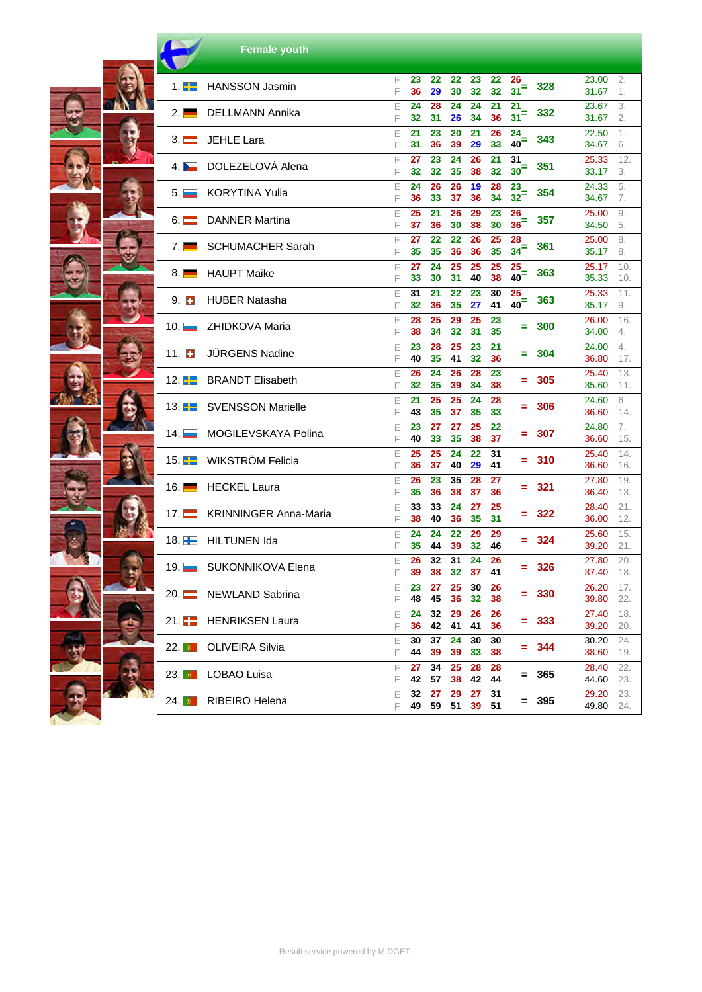|                                | <b>Female youth</b>          |        |                |                  |                |                |                |                         |         |                         |                   |
|--------------------------------|------------------------------|--------|----------------|------------------|----------------|----------------|----------------|-------------------------|---------|-------------------------|-------------------|
| 1. <del>.</del>                | <b>HANSSON Jasmin</b>        | Е<br>F | 23<br>36       | 22<br>29         | 22<br>30       | 23<br>32       | 22<br>32       | 26<br>31 <sup>2</sup>   | 328     | 23.00<br>31.67          | 2.<br>1.          |
| 2.1                            | DELLMANN Annika              | E<br>F | 24<br>32       | 28<br>31         | 24<br>26       | 24<br>34       | 21<br>36       | 21<br>$31$ <sup>=</sup> | 332     | 23.67<br>31.67          | 3.<br>2.          |
| $3. \blacksquare$              | JEHLE Lara                   | F<br>F | 21<br>31       | 23<br>36         | 20<br>39       | 21<br>29       | 26<br>33       | 24<br>$40–$             | 343     | 22.50<br>34.67          | 1.<br>6.          |
|                                | DOLEZELOVÁ Alena             | E<br>F | 27<br>32       | 23<br>32         | 24<br>35       | 26<br>38       | 21<br>32       | 31<br>30 <sup>–</sup>   | 351     | 25.33<br>33.17          | 12.<br>3.         |
| 5. L                           | KORYTINA Yulia               | E<br>F | 24<br>36       | 26<br>33         | 26<br>37       | 19<br>36       | 28<br>34       | 23<br>$32$ <sup>=</sup> | 354     | 24.33<br>34.67          | 5.<br>7.          |
| $6. \blacksquare$              | <b>DANNER Martina</b>        | E<br>F | 25<br>37       | 21<br>36         | 26<br>30       | 29<br>38       | 23<br>30       | 26<br>36 <sup>5</sup>   | 357     | 25.00<br>34.50          | 9.<br>5.          |
| $7. \blacksquare$              | <b>SCHUMACHER Sarah</b>      | F<br>F | 27<br>35       | 22<br>35         | 22<br>36       | 26<br>36       | 25<br>35       | 28<br>$34$ <sup>=</sup> | 361     | 25.00<br>35.17          | 8.<br>8.          |
| $8. \blacksquare$              | <b>HAUPT Maike</b>           | E<br>F | 27<br>33       | 24<br>30         | 25<br>31       | 25<br>40       | 25<br>38       | 25<br>40 <sup>3</sup>   | 363     | 25.17<br>35.33          | 10.<br>10.        |
| $9.$ $\blacksquare$            | <b>HUBER Natasha</b>         | Е<br>F | 31<br>32       | 21<br>36         | 22<br>35       | 23<br>27       | 30<br>41       | 25<br>40 <sup>2</sup>   | 363     | 25.33<br>35.17          | 11.<br>9.         |
| 10. $\blacksquare$             | ZHIDKOVA Maria               | E<br>F | 28<br>38       | 25<br>34         | 29<br>32       | 25<br>31       | 23<br>35       | Ξ                       | 300     | 26.00<br>34.00          | 16.<br>4.         |
| 11. <b>E</b>                   | <b>JÜRGENS Nadine</b>        | E<br>F | 23<br>40       | 28<br>35         | 25<br>41       | 23<br>32       | 21<br>36       | Ξ                       | 304     | 24.00<br>36.80          | 4.<br>17.         |
| 12. <del>TH</del>              | <b>BRANDT Elisabeth</b>      | E<br>F | 26<br>32       | 24<br>35         | 26<br>39       | 28<br>34       | 23<br>38       | =                       | 305     | 25.40<br>35.60          | 13.<br>11.        |
| 13. <del>TH</del>              | <b>SVENSSON Marielle</b>     | Е<br>F | 21<br>43       | 25<br>35         | 25<br>37       | 24<br>35       | 28<br>33       | ۰                       | 306     | 24.60<br>36.60          | 6.<br>14.         |
| 14. L.                         | MOGILEVSKAYA Polina          | E<br>F | 23<br>40       | 27<br>33         | 27<br>35       | 25<br>38       | 22<br>37       | Ξ                       | 307     | 24.80<br>36.60          | 7.<br>15.         |
| 15. <del>TH</del>              | WIKSTRÖM Felicia             | E<br>F | 25<br>36       | 25<br>37         | 24<br>40       | 22<br>29       | 31<br>41       | Ξ                       | 310     | 25.40<br>36.60          | 14.<br>16.        |
| 16. I                          | <b>HECKEL Laura</b>          | E<br>F | 26<br>35       | 23<br>36         | 35<br>38       | 28<br>37       | 27<br>36       | Ξ                       | -321    | 27.80<br>36.40          | 19.<br>13.        |
| 17. I                          | <b>KRINNINGER Anna-Maria</b> | E<br>F | 33<br>38       | 33<br>40         | 24<br>36       | 27<br>35       | 25<br>31       | =                       | 322     | 28.40<br>36.00          | 21.<br>12.        |
| 18. HT                         | <b>HILTUNEN Ida</b>          | Ε<br>F | 24<br>35       | 24<br>44         | 22<br>39       | 29<br>32       | 29<br>46       |                         | 324     | 25.60<br>39.20          | 15.<br>21.        |
| $19. \Box$                     | SUKONNIKOVA Elena            | E<br>F | 26<br>39       | 32<br>38         | 31<br>32       | 24<br>37       | 26<br>41       | Ξ                       | 326     | 27.80<br>37.40          | 20.<br>18.        |
| $20. \blacksquare$             | NEWLAND Sabrina              | E<br>F | 23<br>48       | 27<br>45         | 25<br>36       | 30<br>32       | 26<br>38       |                         | $= 330$ | 26.20<br>39.80          | 17.<br>22.        |
| $21.$ $\blacksquare$           | <b>HENRIKSEN Laura</b>       | E<br>F | 24<br>36<br>30 | 32<br>42<br>37   | 29<br>41<br>24 | 26<br>41<br>30 | 26<br>36<br>30 | ÷                       | 333     | 27.40<br>39.20<br>30.20 | 18.<br>20.<br>24. |
| $22.$ $\bullet$ $\blacksquare$ | <b>OLIVEIRA Silvia</b>       | E<br>F | 44<br>27       | 39<br>34         | 39<br>25       | 33<br>28       | 38<br>28       | ÷                       | 344     | 38.60<br>28.40          | 19.<br>22.        |
| $23.$ $\bullet$ $\blacksquare$ | <b>LOBAO Luisa</b>           | Е<br>F | 42<br>32       | ${\bf 57}$<br>27 | 38<br>29       | 42<br>27       | 44             | Ξ.                      | - 365   | 44.60                   | 23.               |
| $24.$ $\bullet$                | RIBEIRO Helena               | Ε<br>F | 49             | 59               | 51             | 39             | 31<br>51       |                         | = 395   | 29.20<br>49.80          | 23.<br>24.        |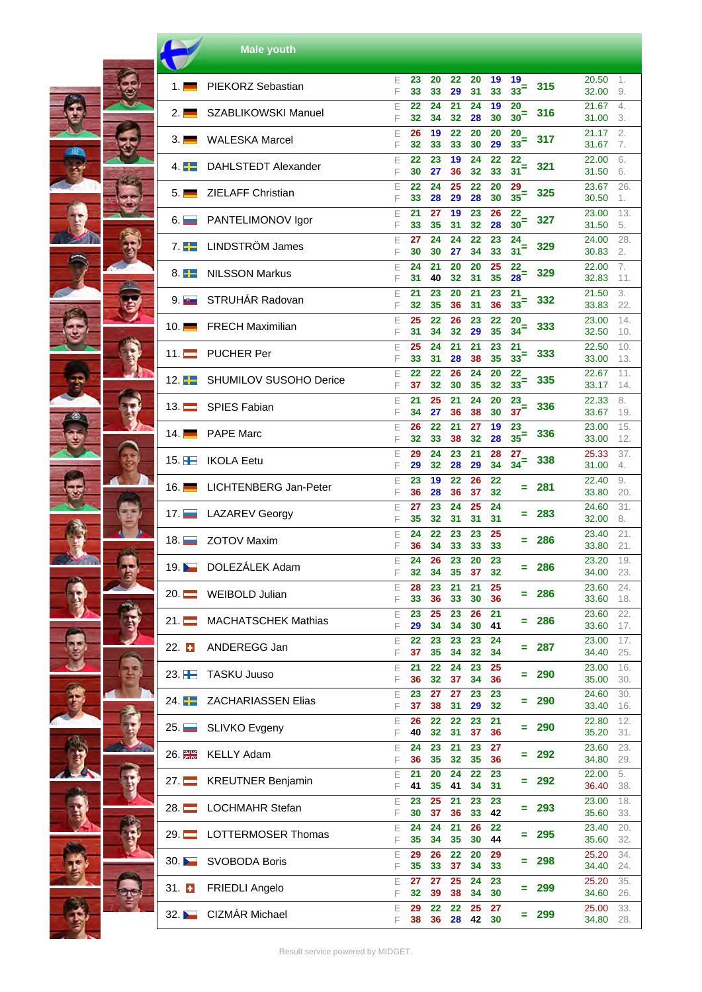|                    | <b>Male youth</b>             |        |          |          |          |          |          |                         |       |                |            |
|--------------------|-------------------------------|--------|----------|----------|----------|----------|----------|-------------------------|-------|----------------|------------|
| 1.1                | <b>PIEKORZ Sebastian</b>      | Е<br>F | 23<br>33 | 20<br>33 | 22<br>29 | 20<br>31 | 19<br>33 | 19<br>33 <sup>2</sup>   | 315   | 20.50<br>32.00 | 1.<br>9.   |
| $2. \blacksquare$  | SZABLIKOWSKI Manuel           | E<br>F | 22<br>32 | 24<br>34 | 21<br>32 | 24<br>28 | 19<br>30 | 20<br>30 <sup>2</sup>   | 316   | 21.67<br>31.00 | 4.<br>3.   |
| 3. <b>—</b>        | <b>WALESKA Marcel</b>         | E<br>F | 26<br>32 | 19<br>33 | 22<br>33 | 20<br>30 | 20<br>29 | 20<br>$33=$             | 317   | 21.17<br>31.67 | 2.<br>7.   |
| 4. H-I             | DAHLSTEDT Alexander           | E<br>F | 22<br>30 | 23<br>27 | 19<br>36 | 24<br>32 | 22<br>33 | 22<br>$31$ <sup>=</sup> | 321   | 22.00<br>31.50 | 6.<br>6.   |
| $5. \blacksquare$  | <b>ZIELAFF Christian</b>      | E<br>F | 22<br>33 | 24<br>28 | 25<br>29 | 22<br>28 | 20<br>30 | 29<br>$35=$             | 325   | 23.67<br>30.50 | 26.<br>1.  |
| 6. L               | PANTELIMONOV Igor             | E<br>F | 21<br>33 | 27<br>35 | 19<br>31 | 23<br>32 | 26<br>28 | 22<br>30 <sup>2</sup>   | 327   | 23.00<br>31.50 | 13.<br>5.  |
| $7. \pm$           | LINDSTRÖM James               | E<br>F | 27<br>30 | 24<br>30 | 24<br>27 | 22<br>34 | 23<br>33 | 24<br>31 <sup>2</sup>   | 329   | 24.00<br>30.83 | 28.<br>2.  |
| 8. $\blacksquare$  | <b>NILSSON Markus</b>         | E<br>F | 24<br>31 | 21<br>40 | 20<br>32 | 20<br>31 | 25<br>35 | 22<br>$28$ <sup>=</sup> | 329   | 22.00<br>32.83 | 7.<br>11.  |
| 9.1                | STRUHÁR Radovan               | E<br>F | 21<br>32 | 23<br>35 | 20<br>36 | 21<br>31 | 23<br>36 | 21<br>$33=$             | 332   | 21.50<br>33.83 | 3.<br>22.  |
| 10. $\blacksquare$ | <b>FRECH Maximilian</b>       | Ε<br>F | 25<br>31 | 22<br>34 | 26<br>32 | 23<br>29 | 22<br>35 | 20<br>$34$ <sup>=</sup> | 333   | 23.00<br>32.50 | 14.<br>10. |
| 11. $\equiv$       | <b>PUCHER Per</b>             | E<br>F | 25<br>33 | 24<br>31 | 21<br>28 | 21<br>38 | 23<br>35 | 21<br>$33=$             | 333   | 22.50<br>33.00 | 10.<br>13. |
| 12. $\pm$          | <b>SHUMILOV SUSOHO Derice</b> | E<br>F | 22<br>37 | 22<br>32 | 26<br>30 | 24<br>35 | 20<br>32 | 22<br>33 <sup>2</sup>   | 335   | 22.67<br>33.17 | 11.<br>14. |
| 13. $\equiv$       | <b>SPIES Fabian</b>           | E<br>F | 21<br>34 | 25<br>27 | 21<br>36 | 24<br>38 | 20<br>30 | 23<br>37 <sup>5</sup>   | 336   | 22.33<br>33.67 | 8.<br>19.  |
| 14. $\blacksquare$ | <b>PAPE Marc</b>              | E<br>F | 26<br>32 | 22<br>33 | 21<br>38 | 27<br>32 | 19<br>28 | 23<br>$35=$             | 336   | 23.00<br>33.00 | 15.<br>12. |
| 15. $H$            | <b>IKOLA Eetu</b>             | E<br>F | 29<br>29 | 24<br>32 | 23<br>28 | 21<br>29 | 28<br>34 | 27<br>$34$ <sup>=</sup> | 338   | 25.33<br>31.00 | 37.<br>4.  |
| 16. $\blacksquare$ | LICHTENBERG Jan-Peter         | E<br>F | 23<br>36 | 19<br>28 | 22<br>36 | 26<br>37 | 22<br>32 | Ξ                       | - 281 | 22.40<br>33.80 | 9.<br>20.  |
| 17. $\blacksquare$ | <b>LAZAREV Georgy</b>         | E<br>F | 27<br>35 | 23<br>32 | 24<br>31 | 25<br>31 | 24<br>31 | Ξ                       | 283   | 24.60<br>32.00 | 31.<br>8.  |
|                    | <b>ZOTOV Maxim</b>            | Е<br>F | 24<br>36 | 22<br>34 | 23<br>33 | 23<br>33 | 25<br>33 | Ξ                       | 286   | 23.40<br>33.80 | 21.<br>21. |
| 19.                | DOLEZÁLEK Adam                | ᄂ<br>F | 24<br>32 | 26<br>34 | 23<br>35 | 20<br>37 | 23<br>32 |                         | 286   | 23.20<br>34.00 | 19.<br>23. |
| $20. \Box$         | <b>WEIBOLD Julian</b>         | E<br>F | 28<br>33 | 23<br>36 | 21<br>33 | 21<br>30 | 25<br>36 | Ξ                       | 286   | 23.60<br>33.60 | 24.<br>18. |
| $21. \blacksquare$ | <b>MACHATSCHEK Mathias</b>    | E<br>F | 23<br>29 | 25<br>34 | 23<br>34 | 26<br>30 | 21<br>41 | Ξ                       | 286   | 23.60<br>33.60 | 22.<br>17. |
| 22. E              | ANDEREGG Jan                  | Ε<br>F | 22<br>37 | 23<br>35 | 23<br>34 | 23<br>32 | 24<br>34 |                         | 287   | 23.00<br>34.40 | 17.<br>25. |
| 23. $H$            | <b>TASKU Juuso</b>            | Ε<br>F | 21<br>36 | 22<br>32 | 24<br>37 | 23<br>34 | 25<br>36 |                         | 290   | 23.00<br>35.00 | 16.<br>30. |
| 24. <del>T</del>   | <b>ZACHARIASSEN Elias</b>     | E<br>F | 23<br>37 | 27<br>38 | 27<br>31 | 23<br>29 | 23<br>32 | Ξ                       | 290   | 24.60<br>33.40 | 30.<br>16. |
| 25.                | <b>SLIVKO Evgeny</b>          | E<br>F | 26<br>40 | 22<br>32 | 22<br>31 | 23<br>37 | 21<br>36 | ÷                       | 290   | 22.80<br>35.20 | 12.<br>31. |
| 26. <del>웱종</del>  | <b>KELLY Adam</b>             | E<br>F | 24<br>36 | 23<br>35 | 21<br>32 | 23<br>35 | 27<br>36 | Ξ                       | 292   | 23.60<br>34.80 | 23.<br>29. |
| 27. $\blacksquare$ | <b>KREUTNER Benjamin</b>      | E<br>F | 21<br>41 | 20<br>35 | 24<br>41 | 22<br>34 | 23<br>31 | Ξ                       | 292   | 22.00<br>36.40 | 5.<br>38.  |
| 28. <b>.</b>       | <b>LOCHMAHR Stefan</b>        | E<br>F | 23<br>30 | 25<br>37 | 21<br>36 | 23<br>33 | 23<br>42 | Ξ                       | 293   | 23.00<br>35.60 | 18.<br>33. |
| $29. \blacksquare$ | LOTTERMOSER Thomas            | E<br>F | 24<br>35 | 24<br>34 | 21<br>35 | 26<br>30 | 22<br>44 | Ξ                       | 295   | 23.40<br>35.60 | 20.<br>32. |
| 30.                | <b>SVOBODA Boris</b>          | E<br>F | 29<br>35 | 26<br>33 | 22<br>37 | 20<br>34 | 29<br>33 | Ξ                       | 298   | 25.20<br>34.40 | 34.<br>24. |
| 31. <b>EI</b>      | <b>FRIEDLI Angelo</b>         | Ε<br>F | 27<br>32 | 27<br>39 | 25<br>38 | 24<br>34 | 23<br>30 |                         | 299   | 25.20<br>34.60 | 35.<br>26. |
| 32.                | CIZMÁR Michael                | E<br>F | 29<br>38 | 22<br>36 | 22<br>28 | 25<br>42 | 27<br>30 | Ξ                       | 299   | 25.00<br>34.80 | 33.<br>28. |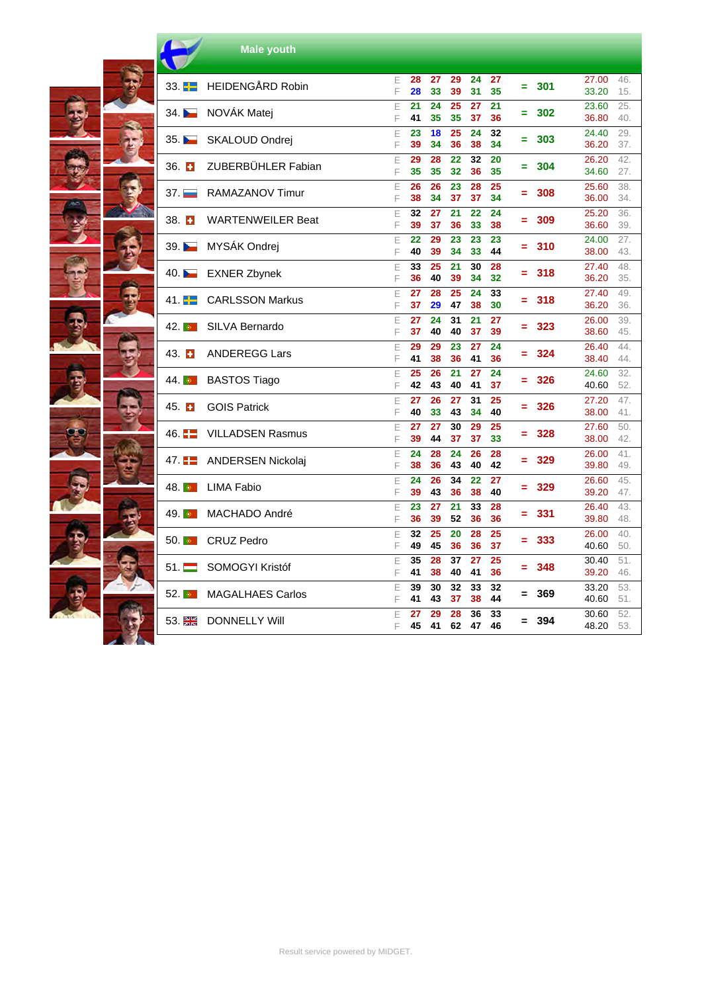|                    | <b>Male youth</b>        |        |          |          |          |          |          |     |     |                |            |
|--------------------|--------------------------|--------|----------|----------|----------|----------|----------|-----|-----|----------------|------------|
| 33. $\blacksquare$ | <b>HEIDENGÅRD Robin</b>  | E<br>F | 28<br>28 | 27<br>33 | 29<br>39 | 24<br>31 | 27<br>35 | Ξ   | 301 | 27.00<br>33.20 | 46.<br>15. |
| 34.                | NOVÁK Matej              | E<br>F | 21<br>41 | 24<br>35 | 25<br>35 | 27<br>37 | 21<br>36 | Ξ   | 302 | 23.60<br>36.80 | 25.<br>40. |
| 35.                | SKALOUD Ondrej           | E<br>F | 23<br>39 | 18<br>34 | 25<br>36 | 24<br>38 | 32<br>34 | Ξ   | 303 | 24.40<br>36.20 | 29.<br>37. |
| 36. $\Box$         | ZUBERBÜHLER Fabian       | E<br>F | 29<br>35 | 28<br>35 | 22<br>32 | 32<br>36 | 20<br>35 | =   | 304 | 26.20<br>34.60 | 42.<br>27. |
| 37.                | RAMAZANOV Timur          | E<br>F | 26<br>38 | 26<br>34 | 23<br>37 | 28<br>37 | 25<br>34 | $=$ | 308 | 25.60<br>36.00 | 38.<br>34. |
| 38. $\Box$         | <b>WARTENWEILER Beat</b> | E<br>F | 32<br>39 | 27<br>37 | 21<br>36 | 22<br>33 | 24<br>38 | Ξ   | 309 | 25.20<br>36.60 | 36.<br>39. |
| 39.                | MYSÁK Ondrej             | E<br>F | 22<br>40 | 29<br>39 | 23<br>34 | 23<br>33 | 23<br>44 | Ξ   | 310 | 24.00<br>38.00 | 27.<br>43. |
| 40.                | <b>EXNER Zbynek</b>      | E<br>F | 33<br>36 | 25<br>40 | 21<br>39 | 30<br>34 | 28<br>32 | Ξ   | 318 | 27.40<br>36.20 | 48.<br>35. |
| 41.                | <b>CARLSSON Markus</b>   | E<br>F | 27<br>37 | 28<br>29 | 25<br>47 | 24<br>38 | 33<br>30 | ۰.  | 318 | 27.40<br>36.20 | 49.<br>36. |
| 42.                | SILVA Bernardo           | E<br>F | 27<br>37 | 24<br>40 | 31<br>40 | 21<br>37 | 27<br>39 | Ξ.  | 323 | 26.00<br>38.60 | 39.<br>45. |
| $43.$ $\Box$       | <b>ANDEREGG Lars</b>     | E<br>F | 29<br>41 | 29<br>38 | 23<br>36 | 27<br>41 | 24<br>36 |     | 324 | 26.40<br>38.40 | 44.<br>44. |
| 44.                | <b>BASTOS Tiago</b>      | E<br>F | 25<br>42 | 26<br>43 | 21<br>40 | 27<br>41 | 24<br>37 | Ξ   | 326 | 24.60<br>40.60 | 32.<br>52. |
| $45.$ $\Box$       | <b>GOIS Patrick</b>      | E<br>F | 27<br>40 | 26<br>33 | 27<br>43 | 31<br>34 | 25<br>40 | Ξ   | 326 | 27.20<br>38.00 | 47.<br>41. |
| 46. $\blacksquare$ | <b>VILLADSEN Rasmus</b>  | E<br>F | 27<br>39 | 27<br>44 | 30<br>37 | 29<br>37 | 25<br>33 | Ξ   | 328 | 27.60<br>38.00 | 50.<br>42. |
| 47.                | <b>ANDERSEN Nickolaj</b> | E<br>F | 24<br>38 | 28<br>36 | 24<br>43 | 26<br>40 | 28<br>42 | $=$ | 329 | 26.00<br>39.80 | 41.<br>49. |
| 48.                | <b>LIMA Fabio</b>        | E<br>F | 24<br>39 | 26<br>43 | 34<br>36 | 22<br>38 | 27<br>40 | Ξ   | 329 | 26.60<br>39.20 | 45.<br>47. |
| 49.1               | MACHADO André            | Ε<br>F | 23<br>36 | 27<br>39 | 21<br>52 | 33<br>36 | 28<br>36 | Ξ   | 331 | 26.40<br>39.80 | 43.<br>48. |
| 50.1               | <b>CRUZ Pedro</b>        | E<br>F | 32<br>49 | 25<br>45 | 20<br>36 | 28<br>36 | 25<br>37 | Ξ   | 333 | 26.00<br>40.60 | 40.<br>50. |
| $51. \blacksquare$ | SOMOGYI Kristóf          | E<br>F | 35<br>41 | 28<br>38 | 37<br>40 | 27<br>41 | 25<br>36 | =   | 348 | 30.40<br>39.20 | 51.<br>46. |
| $52.$ $\circ$      | <b>MAGALHAES Carlos</b>  | E<br>F | 39<br>41 | 30<br>43 | 32<br>37 | 33<br>38 | 32<br>44 | $=$ | 369 | 33.20<br>40.60 | 53.<br>51. |
| 53. <sub>端长</sub>  | <b>DONNELLY Will</b>     | E<br>F | 27<br>45 | 29<br>41 | 28<br>62 | 36<br>47 | 33<br>46 | $=$ | 394 | 30.60<br>48.20 | 52.<br>53. |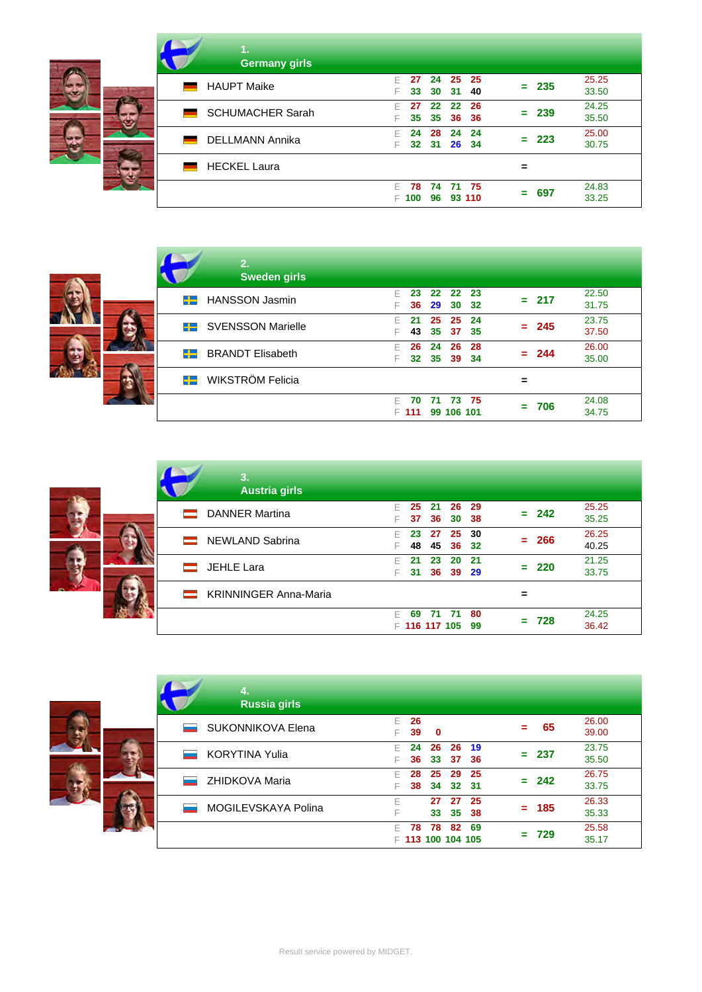| 1.<br><b>Germany girls</b>   |                                                                       |                |
|------------------------------|-----------------------------------------------------------------------|----------------|
| <b>HAUPT Maike</b>           | - 25<br>F.<br>- 25<br>24<br>27<br>$= 235$<br>30<br>- 31<br>33<br>-40  | 25.25<br>33.50 |
| <b>SCHUMACHER Sarah</b><br>▄ | 22 22<br>26<br>F<br>27<br>$= 239$<br>35 <sub>o</sub><br>35 36 36<br>F | 24.25<br>35.50 |
| <b>DELLMANN Annika</b>       | 24<br>24<br>F<br>24<br>28<br>$= 223$<br>32 31 26 34<br>F              | 25.00<br>30.75 |
| <b>HECKEL Laura</b>          | =                                                                     |                |
|                              | 74<br>71 75<br>F.<br>78<br>697<br>=<br>93 110<br>96<br>100<br>E       | 24.83<br>33.25 |

|    | 2.<br><b>Sweden girls</b>   |           |      |                         |      |         |                |
|----|-----------------------------|-----------|------|-------------------------|------|---------|----------------|
|    | <b>E-</b> HANSSON Jasmin    | 23        |      | 22 22 23<br>36 29 30 32 |      | $= 217$ | 22.50<br>31.75 |
|    | <b>E-</b> SVENSSON Marielle | 21        | 25   | 25<br>43 35 37 35       | - 24 | $= 245$ | 23.75<br>37.50 |
| 22 | <b>BRANDT Elisabeth</b>     | 26        | 24   | 26<br>32 35 39 34       | 28   | $= 244$ | 26.00<br>35.00 |
|    | <b>E-</b> WIKSTRÖM Felicia  |           |      |                         |      |         |                |
|    |                             | 70<br>111 | - 71 | - 73<br>99 106 101      | - 75 | -706    | 24.08<br>34.75 |



| 3.<br><b>Austria girls</b>   |        |                       |                |           |             |         |                |
|------------------------------|--------|-----------------------|----------------|-----------|-------------|---------|----------------|
| <b>DANNER Martina</b>        | F<br>F | 25<br>37              | 21<br>36       | -26<br>30 | - 29<br>-38 | $= 242$ | 25.25<br>35.25 |
| <b>NEWLAND Sabrina</b>       | F<br>F | 23<br>48              | 27<br>45       | 25<br>36  | 30<br>-32   | $= 266$ | 26.25<br>40.25 |
| JEHLE Lara                   | F<br>F | 21                    | 23<br>31 36 39 | 20        | 21<br>- 29  | $= 220$ | 21.25<br>33.75 |
| <b>KRINNINGER Anna-Maria</b> |        |                       |                |           |             |         |                |
|                              | F      | 69<br>$F$ 116 117 105 | -71            | - 71      | 80<br>99    | 728     | 24.25<br>36.42 |



| 4.<br><b>Russia girls</b> |        |          |                       |                       |            |          |         |                |
|---------------------------|--------|----------|-----------------------|-----------------------|------------|----------|---------|----------------|
| <b>SUKONNIKOVA Elena</b>  | F<br>F | 26<br>39 | $\mathbf 0$           |                       |            |          | 65      | 26.00<br>39.00 |
| <b>KORYTINA Yulia</b>     | F<br>F | 24<br>36 | 26<br>33              | 26<br>37              | -19<br>-36 |          | $= 237$ | 23.75<br>35.50 |
| <b>ZHIDKOVA Maria</b>     | F<br>F | 28<br>38 | 25<br>34              | 29<br>32 <sup>2</sup> | 25<br>- 31 | -        | 242     | 26.75<br>33.75 |
| MOGILEVSKAYA Polina       | F<br>F |          | 27<br>33              | 27<br>35              | 25<br>38   | $\equiv$ | 185     | 26.33<br>35.33 |
|                           | F<br>F | 78       | 78<br>113 100 104 105 | 82                    | 69         |          | 729     | 25.58<br>35.17 |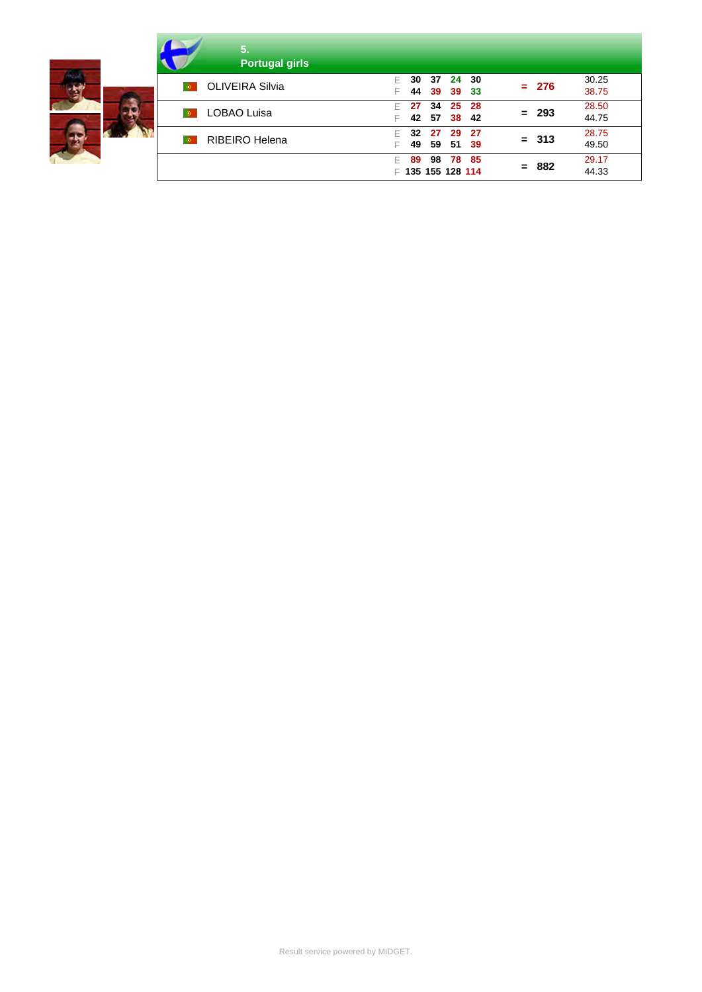| 5.<br><b>Portugal girls</b>                             |                                                                                |
|---------------------------------------------------------|--------------------------------------------------------------------------------|
| <b>D</b> OLIVEIRA Silvia                                | 30.25<br>24<br>- 30<br>-37<br>30<br>$= 276$<br>38.75<br>44<br>39<br>39<br>- 33 |
| 34<br>27<br><b>LOBAO Luisa</b><br>$\bullet$<br>42<br>57 | 28.50<br>25<br>- 28<br>$= 293$<br>44.75<br>38<br>-42                           |
| <b>RIBEIRO Helena</b><br>$\circ$                        | 28.75<br>-27<br>32<br>29<br>27<br>$= 313$<br>49.50<br>49<br>51<br>59<br>- 39   |
|                                                         | 78<br>- 85<br>29.17<br>98<br>89<br>$= 882$<br>44.33<br>₣ 135 155 128 114       |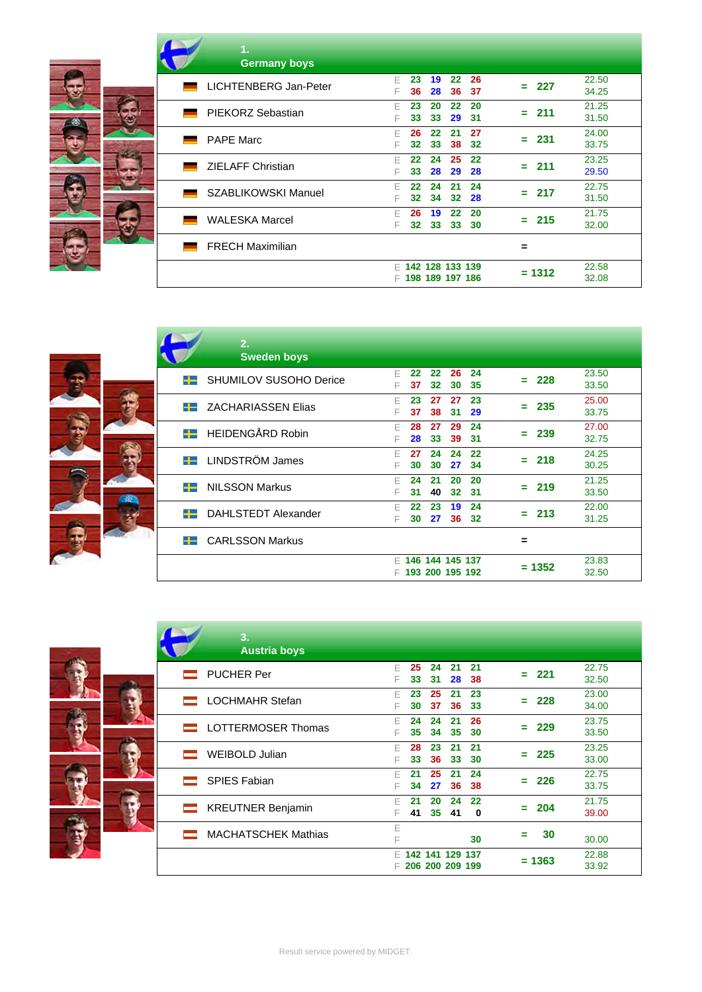|    | 1.<br><b>Germany boys</b>                                                              |                             |
|----|----------------------------------------------------------------------------------------|-----------------------------|
|    | 22<br>26<br>F<br>19<br>23<br><b>LICHTENBERG Jan-Peter</b><br>28<br>36<br>36<br>37<br>F | 22.50<br>227<br>-<br>34.25  |
| 65 | 20<br>22<br>20<br>F<br>23<br>PIEKORZ Sebastian<br>33<br>29<br>31<br>F<br>33            | 21.25<br>211<br>Ξ.<br>31.50 |
|    | 27<br>F<br>22<br>-21<br>26<br><b>PAPE Marc</b><br>33<br>38<br>32<br>32<br>F            | 24.00<br>231<br>=<br>33.75  |
|    | 22<br>24<br>25<br>22<br>F<br><b>ZIELAFF Christian</b><br>33<br>28<br>29<br>28<br>F     | 23.25<br>211<br>=<br>29.50  |
|    | 24<br>24<br>21<br>F<br>22<br><b>SZABLIKOWSKI Manuel</b><br>34<br>32<br>32<br>28<br>F   | 22.75<br>217<br>=<br>31.50  |
|    | 22<br>20<br>19<br>26<br>F<br><b>WALESKA Marcel</b><br>33<br>30<br>32<br>33<br>F        | 21.75<br>215<br>=<br>32.00  |
|    | <b>FRECH Maximilian</b>                                                                | =                           |
|    | 142 128 133 139<br>F.<br>198 189 197 186<br>F                                          | 22.58<br>$= 1312$<br>32.08  |

|     | 2.                               |        |          |                                        |          |          |           |                |
|-----|----------------------------------|--------|----------|----------------------------------------|----------|----------|-----------|----------------|
|     | <b>Sweden boys</b>               |        |          |                                        |          |          |           |                |
| --  | SHUMILOV SUSOHO Derice           | F<br>F | 22<br>37 | 22<br>32                               | 26<br>30 | 24<br>35 | 228<br>÷  | 23.50<br>33.50 |
| ᆠ   | <b>ZACHARIASSEN Elias</b>        | F<br>F | 23<br>37 | 27<br>38                               | 27<br>31 | 23<br>29 | 235<br>Ξ. | 25.00<br>33.75 |
|     | <b>EE</b> HEIDENGÅRD Robin       | F<br>F | 28<br>28 | 27<br>33                               | 29<br>39 | 24<br>31 | 239<br>-  | 27.00<br>32.75 |
|     | <b>Example 2</b> LINDSTRÖM James | F      | 27<br>30 | 24<br>30                               | 24<br>27 | 22<br>34 | 218<br>Ξ. | 24.25<br>30.25 |
| $+$ | <b>NILSSON Markus</b>            | F<br>F | 24<br>31 | 21<br>40                               | 20<br>32 | 20<br>31 | 219<br>Ξ. | 21.25<br>33.50 |
|     | DAHLSTEDT Alexander              | F      | 22<br>30 | 23<br>27                               | 19<br>36 | 24<br>32 | 213<br>-  | 22.00<br>31.25 |
| --  | <b>CARLSSON Markus</b>           |        |          |                                        |          |          | $\equiv$  |                |
|     |                                  | F.     |          | $F$ 146 144 145 137<br>193 200 195 192 |          |          | $= 1352$  | 23.83<br>32.50 |



| 3.<br><b>Austria boys</b>  |        |          |          |                                    |                |     |          |                |
|----------------------------|--------|----------|----------|------------------------------------|----------------|-----|----------|----------------|
| <b>PUCHER Per</b>          | F<br>F | 25<br>33 | 24<br>31 | 21<br>28                           | 21<br>38       | $=$ | - 221    | 22.75<br>32.50 |
| <b>LOCHMAHR Stefan</b>     | F<br>F | 23<br>30 | 25<br>37 | 21<br>36                           | 23<br>33       | -   | 228      | 23.00<br>34.00 |
| LOTTERMOSER Thomas         | F<br>F | 24<br>35 | 24<br>34 | 21<br>35                           | 26<br>30       | $=$ | 229      | 23.75<br>33.50 |
| <b>WEIBOLD Julian</b>      | F<br>F | 28<br>33 | 23<br>36 | 21<br>33                           | 21<br>30       | $=$ | 225      | 23.25<br>33.00 |
| <b>SPIES Fabian</b>        | F<br>F | 21<br>34 | 25<br>27 | 21<br>36                           | 24<br>38       | =   | 226      | 22.75<br>33.75 |
| <b>KREUTNER Benjamin</b>   | F<br>F | 21<br>41 | 20<br>35 | 24<br>41                           | 22<br>$\bf{0}$ | $=$ | 204      | 21.75<br>39.00 |
| <b>MACHATSCHEK Mathias</b> | E<br>F |          |          |                                    | 30             | ═   | 30       | 30.00          |
|                            | F<br>F |          |          | 142 141 129 137<br>206 200 209 199 |                |     | $= 1363$ | 22.88<br>33.92 |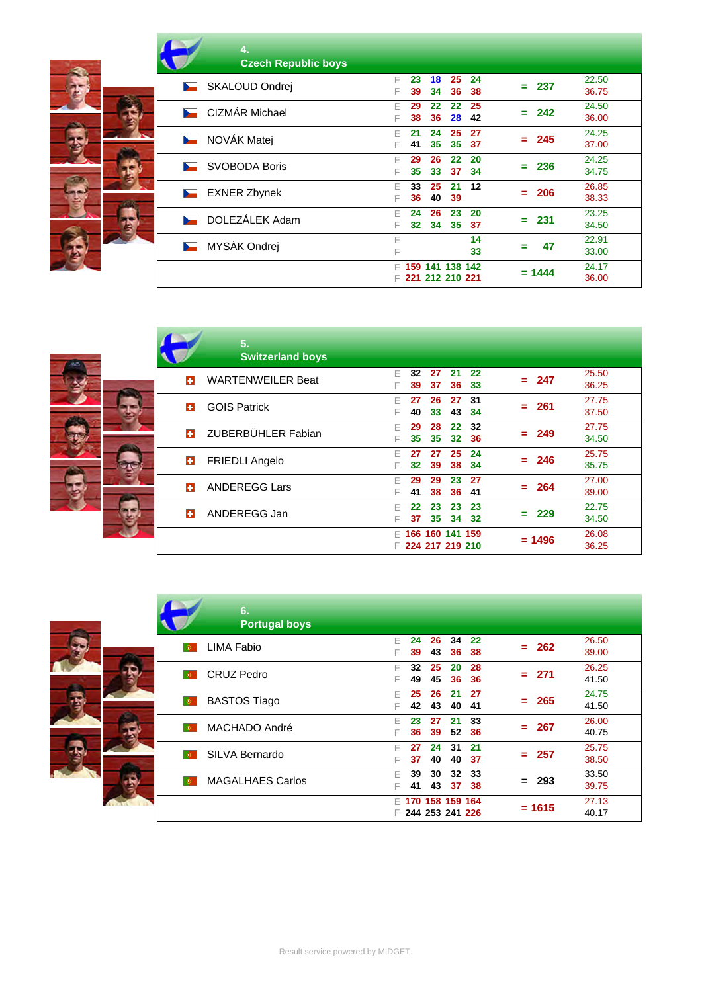| 4.<br><b>Czech Republic boys</b>           |                                                             |                             |
|--------------------------------------------|-------------------------------------------------------------|-----------------------------|
| SKALOUD Ondrej<br>$\overline{\phantom{0}}$ | 25<br>18<br>24<br>F<br>23<br>36<br>34<br>38<br>39<br>F      | 22.50<br>-237<br>Ξ<br>36.75 |
| CIZMÁR Michael<br><b>Security</b>          | 25<br>22<br>$22 \,$<br>29<br>F<br>28<br>42<br>38<br>36<br>F | 24.50<br>242<br>Ξ<br>36.00  |
| NOVÁK Matej<br>$\overline{\phantom{a}}$    | 25<br>27<br>F<br>21<br>24<br>35<br>35<br>37<br>41<br>F      | 24.25<br>245<br>۰.<br>37.00 |
| <b>SVOBODA Boris</b><br><b>Service</b>     | 26<br>$22 \,$<br>20<br>29<br>F<br>35<br>33<br>37<br>34<br>F | 24.25<br>236<br>Ξ<br>34.75  |
| <b>EXNER Zbynek</b><br>$\sim$              | 12<br>33<br>25<br>21<br>F<br>36<br>40<br>39<br>F            | 26.85<br>206<br>Ξ<br>38.33  |
| DOLEZÁLEK Adam<br><b>Barnett Street</b>    | 23<br>20<br>24<br>26<br>F<br>34<br>35<br>F<br>32<br>37      | 23.25<br>231<br>Ξ<br>34.50  |
| MYSÁK Ondrej<br>h.                         | 14<br>E<br>33<br>F                                          | 22.91<br>47<br>Ξ<br>33.00   |
|                                            | 159 141 138 142<br>F.<br>221 212 210 221<br>F               | 24.17<br>$= 1444$<br>36.00  |

|   | 5.<br><b>Switzerland boys</b> |         |          |                                      |          |           |         |        |                |
|---|-------------------------------|---------|----------|--------------------------------------|----------|-----------|---------|--------|----------------|
| п | <b>WARTENWEILER Beat</b>      | F<br>F  | 32<br>39 | 27<br>37                             | 21<br>36 | 22<br>33  | ≕.      | 247    | 25.50<br>36.25 |
| п | <b>GOIS Patrick</b>           |         | 27<br>40 | 26<br>33                             | 27<br>43 | 31<br>34  |         | = 261  | 27.75<br>37.50 |
| п | ZUBERBÜHLER Fabian            | F<br>F. | 29<br>35 | 28<br>35                             | 22<br>32 | 32<br>36  | $=$ $-$ | 249    | 27.75<br>34.50 |
| o | <b>FRIEDLI Angelo</b>         | F       | 27<br>32 | 27<br>39                             | 25<br>38 | 24<br>34  | Ξ.      | 246    | 25.75<br>35.75 |
| п | <b>ANDEREGG Lars</b>          | F       | 29<br>41 | 29<br>38                             | 23<br>36 | 27<br>41  | - 1     | 264    | 27.00<br>39.00 |
| o | ANDEREGG Jan                  | F<br>F  | 22<br>37 | 23<br>35                             | 23<br>34 | 23<br>-32 | ≕.      | 229    | 22.75<br>34.50 |
|   |                               | F.      |          | 166 160 141 159<br>₣ 224 217 219 210 |          |           |         | = 1496 | 26.08<br>36.25 |

|                | 6.<br><b>Portugal boys</b> |        |                                    |          |          |           |                |          |                |
|----------------|----------------------------|--------|------------------------------------|----------|----------|-----------|----------------|----------|----------------|
| $\bullet$      | <b>LIMA Fabio</b>          | F<br>F | 24<br>39                           | 26<br>43 | 34<br>36 | 22<br>38  |                | $= 262$  | 26.50<br>39.00 |
| $\bullet$      | <b>CRUZ Pedro</b>          | F<br>F | 32<br>49                           | 25<br>45 | 20<br>36 | 28<br>36  |                | $= 271$  | 26.25<br>41.50 |
| $ \Phi\rangle$ | <b>BASTOS Tiago</b>        | F<br>F | 25<br>42                           | 26<br>43 | 21<br>40 | -27<br>41 | $\blacksquare$ | - 265    | 24.75<br>41.50 |
| $\bullet$      | MACHADO André              | F<br>F | 23<br>36                           | 27<br>39 | 21<br>52 | 33<br>36  |                | $= 267$  | 26.00<br>40.75 |
| $\bullet$      | SILVA Bernardo             | F<br>F | 27<br>37                           | 24<br>40 | 31<br>40 | 21<br>37  |                | $= 257$  | 25.75<br>38.50 |
| $\bullet$      | <b>MAGALHAES Carlos</b>    | F<br>F | 39<br>41                           | 30<br>43 | 32<br>37 | 33<br>38  |                | = 293    | 33.50<br>39.75 |
|                |                            | F<br>F | 170 158 159 164<br>244 253 241 226 |          |          |           |                | $= 1615$ | 27.13<br>40.17 |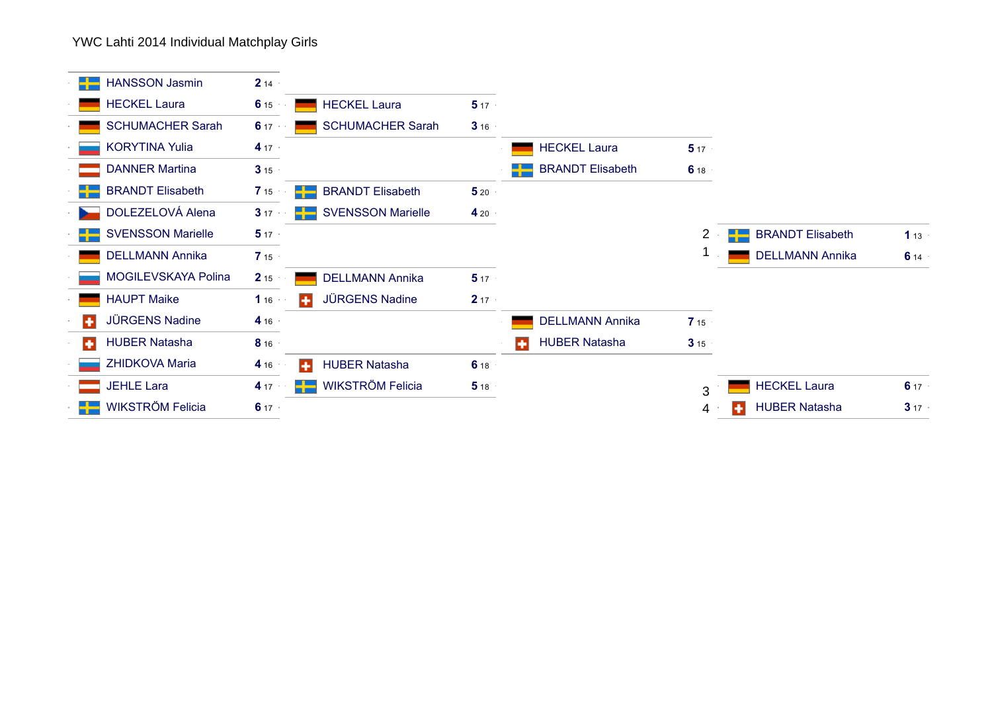YWC Lahti 2014 Individual Matchplay Girls

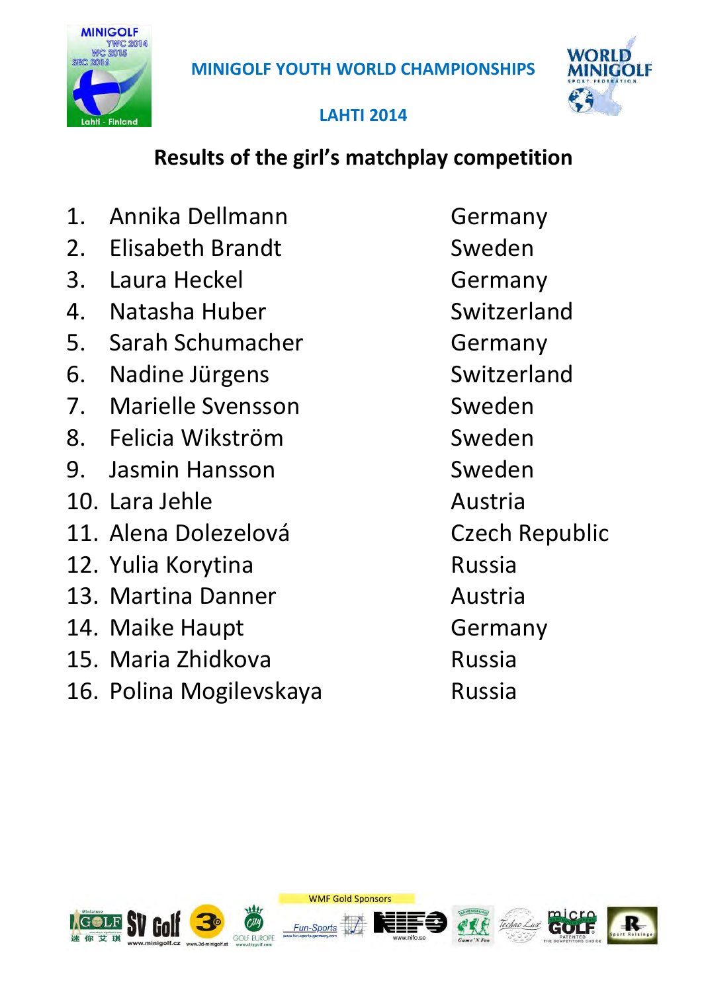



### **LAHTI 2014**

# **Results of the girl's matchplay competition**

1. Annika Dellmann Germany 2. Elisabeth Brandt Sweden 3. Laura Heckel Germany 4. Natasha Huber Switzerland 5. Sarah Schumacher Germany 6. Nadine Jürgens Switzerland 7. Marielle Svensson Sweden 8. Felicia Wikström Sweden 9. Jasmin Hansson Sweden 10. Lara Jehle Austria 11. Alena Dolezelová **Czech Republic** 12. Yulia Korytina **Russia** 13. Martina Danner **Austria** 14. Maike Haupt Germany 15. Maria Zhidkova Russia 16. Polina Mogilevskaya **Russia** 

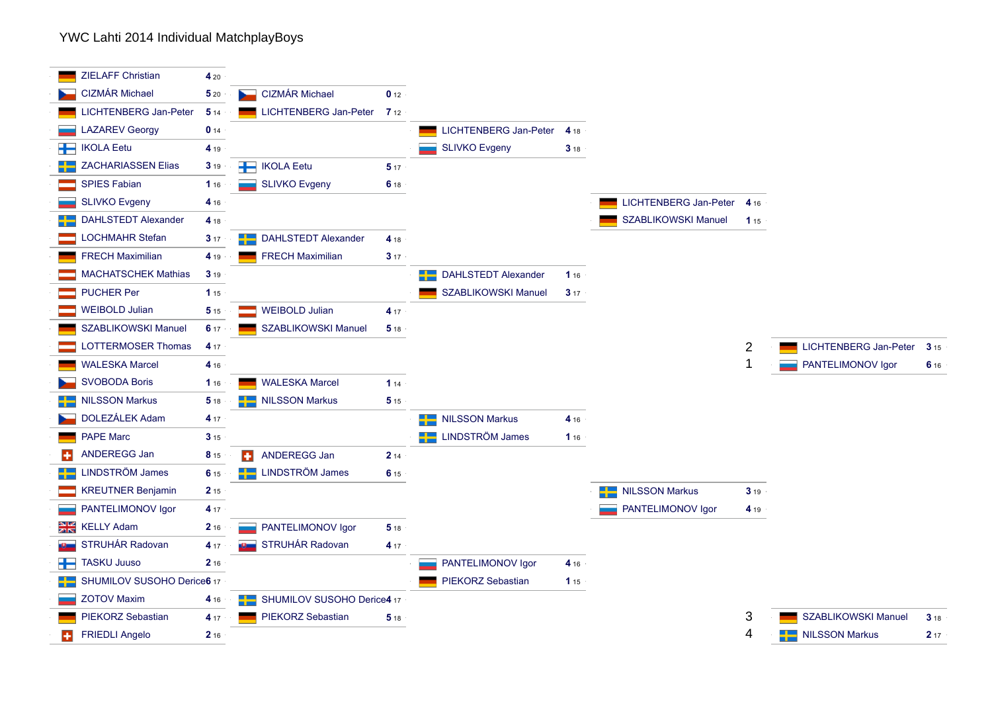#### YWC Lahti 2014 Individual MatchplayBoys